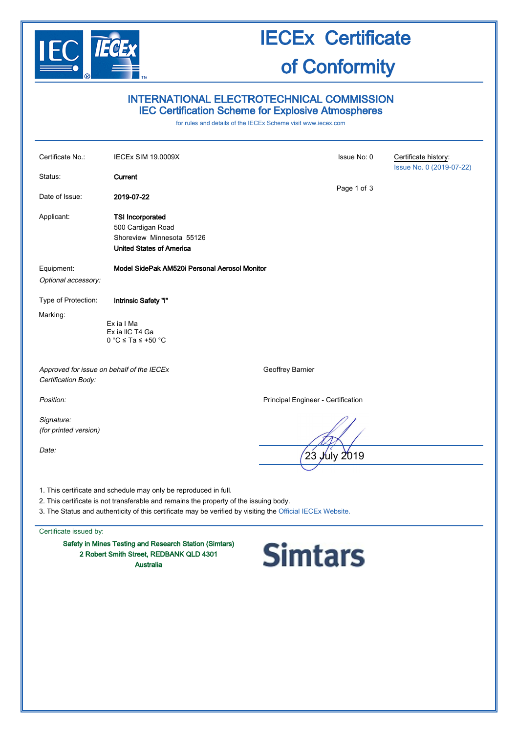

### INTERNATIONAL ELECTROTECHNICAL COMMISSION IEC Certification Scheme for Explosive Atmospheres

for rules and details of the IECEx Scheme visit [www.iecex.com](http://www.iecex.com/)

| Certificate No.:                    | <b>IECEx SIM 19.0009X</b>                                                                                                                                                                                                                                               | Issue No: 0                        | Certificate history:     |
|-------------------------------------|-------------------------------------------------------------------------------------------------------------------------------------------------------------------------------------------------------------------------------------------------------------------------|------------------------------------|--------------------------|
| Status:                             | Current                                                                                                                                                                                                                                                                 |                                    | Issue No. 0 (2019-07-22) |
| Date of Issue:                      | 2019-07-22                                                                                                                                                                                                                                                              | Page 1 of 3                        |                          |
| Applicant:                          | <b>TSI Incorporated</b><br>500 Cardigan Road<br>Shoreview Minnesota 55126<br><b>United States of America</b>                                                                                                                                                            |                                    |                          |
| Equipment:                          | Model SidePak AM520i Personal Aerosol Monitor                                                                                                                                                                                                                           |                                    |                          |
| Optional accessory:                 |                                                                                                                                                                                                                                                                         |                                    |                          |
| Type of Protection:                 | Intrinsic Safety "i"                                                                                                                                                                                                                                                    |                                    |                          |
| Marking:                            | Ex ia I Ma<br>Ex ia IIC T4 Ga<br>$0^\circ \text{C} \leq \text{Ta} \leq +50^\circ \text{C}$                                                                                                                                                                              |                                    |                          |
| Certification Body:                 | Approved for issue on behalf of the IECEx                                                                                                                                                                                                                               | Geoffrey Barnier                   |                          |
| Position:                           |                                                                                                                                                                                                                                                                         | Principal Engineer - Certification |                          |
| Signature:<br>(for printed version) |                                                                                                                                                                                                                                                                         |                                    |                          |
| Date:                               |                                                                                                                                                                                                                                                                         | 23<br>July 2019                    |                          |
|                                     | 1. This certificate and schedule may only be reproduced in full.<br>2. This certificate is not transferable and remains the property of the issuing body.<br>3. The Status and authenticity of this certificate may be verified by visiting the Official IECEx Website. |                                    |                          |

Certificate issued by:

Safety in Mines Testing and Research Station (Simtars) 2 Robert Smith Street, REDBANK QLD 4301 Australia

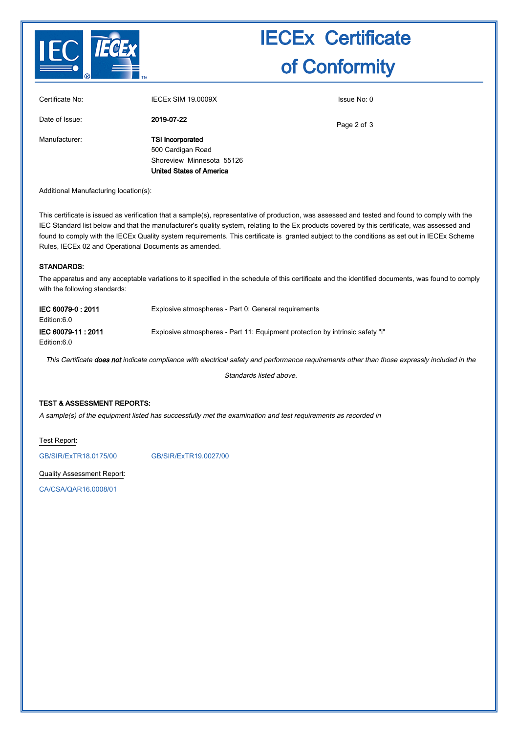

| Certificate No: | <b>IECEX SIM 19.0009X</b>                                                                                    | Issue No: 0 |
|-----------------|--------------------------------------------------------------------------------------------------------------|-------------|
| Date of Issue:  | 2019-07-22                                                                                                   | Page 2 of 3 |
| Manufacturer:   | <b>TSI Incorporated</b><br>500 Cardigan Road<br>Shoreview Minnesota 55126<br><b>United States of America</b> |             |

Additional Manufacturing location(s):

This certificate is issued as verification that a sample(s), representative of production, was assessed and tested and found to comply with the IEC Standard list below and that the manufacturer's quality system, relating to the Ex products covered by this certificate, was assessed and found to comply with the IECEx Quality system requirements. This certificate is granted subject to the conditions as set out in IECEx Scheme Rules, IECEx 02 and Operational Documents as amended.

#### STANDARDS:

The apparatus and any acceptable variations to it specified in the schedule of this certificate and the identified documents, was found to comply with the following standards:

| IEC 60079-0:2011<br>Edition:6.0   | Explosive atmospheres - Part 0: General requirements                          |
|-----------------------------------|-------------------------------------------------------------------------------|
| IEC 60079-11: 2011<br>Edition:6.0 | Explosive atmospheres - Part 11: Equipment protection by intrinsic safety "i" |

This Certificate does not indicate compliance with electrical safety and performance requirements other than those expressly included in the

Standards listed above.

#### TEST & ASSESSMENT REPORTS:

A sample(s) of the equipment listed has successfully met the examination and test requirements as recorded in

Test Report:

[GB/SIR/ExTR18.0175/00](http://iecex.iec.ch/extr/GB.SIR.ExTR18.0175.00) [GB/SIR/ExTR19.0027/00](http://iecex.iec.ch/extr/GB.SIR.ExTR19.0027.00)

Quality Assessment Report:

[CA/CSA/QAR16.0008/01](http://iecex.iec.ch/qar/CA.CSA.QAR16.0008.01)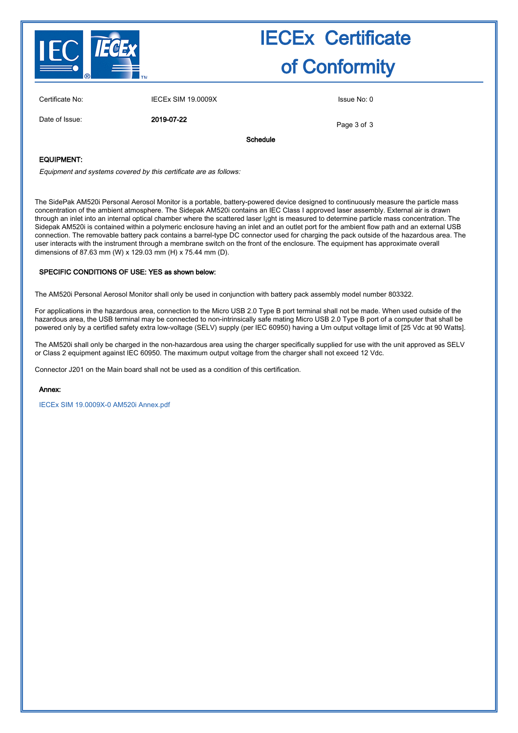

| Certificate No:   | <b>IECEx SIM 19.0009X</b> |          | Issue No: 0 |
|-------------------|---------------------------|----------|-------------|
| Date of Issue:    | 2019-07-22                |          | Page 3 of 3 |
|                   |                           | Schedule |             |
| <b>EQUIPMENT:</b> |                           |          |             |

Equipment and systems covered by this certificate are as follows:

The SidePak AM520i Personal Aerosol Monitor is a portable, battery-powered device designed to continuously measure the particle mass concentration of the ambient atmosphere. The Sidepak AM520i contains an IEC Class I approved laser assembly. External air is drawn through an inlet into an internal optical chamber where the scattered laser l¡ght is measured to determine particle mass concentration. The Sidepak AM520i is contained within a polymeric enclosure having an inlet and an outlet port for the ambient flow path and an external USB connection. The removable battery pack contains a barrel-type DC connector used for charging the pack outside of the hazardous area. The user interacts with the instrument through a membrane switch on the front of the enclosure. The equipment has approximate overall dimensions of 87.63 mm (W) x 129.03 mm (H) x 75.44 mm (D).

#### SPECIFIC CONDITIONS OF USE: YES as shown below:

The AM520i Personal Aerosol Monitor shall only be used in conjunction with battery pack assembly model number 803322.

For applications in the hazardous area, connection to the Micro USB 2.0 Type B port terminal shall not be made. When used outside of the hazardous area, the USB terminal may be connected to non-intrinsically safe mating Micro USB 2.0 Type B port of a computer that shall be powered only by a certified safety extra low-voltage (SELV) supply (per IEC 60950) having a Um output voltage limit of [25 Vdc at 90 Watts].

The AM520i shall only be charged in the non-hazardous area using the charger specifically supplied for use with the unit approved as SELV or Class 2 equipment against IEC 60950. The maximum output voltage from the charger shall not exceed 12 Vdc.

Connector J201 on the Main board shall not be used as a condition of this certification.

#### Annex:

[IECEx SIM 19.0009X-0 AM520i Annex.pdf](http://iecex.iec.ch/cert/IECExSIM19.00090/$File/IECEx SIM 19.0009X-0 AM520i Annex.pdf)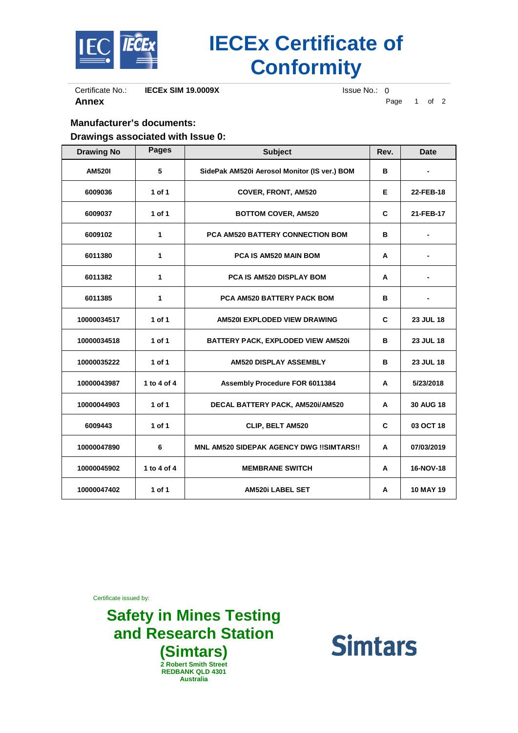

Certificate No.: **IECEx SIM 19.0009X** Issue No.: 0<br>**Annex** P

Page 1 of 2

### **Manufacturer's documents: Drawings associated with Issue 0:**

| <b>Drawing No</b> | <b>Pages</b> | <b>Subject</b>                                  | Rev. | <b>Date</b>      |
|-------------------|--------------|-------------------------------------------------|------|------------------|
| <b>AM5201</b>     | 5            | SidePak AM520i Aerosol Monitor (IS ver.) BOM    | в    |                  |
| 6009036           | 1 of 1       | <b>COVER, FRONT, AM520</b>                      | Е    | 22-FEB-18        |
| 6009037           | 1 of 1       | <b>BOTTOM COVER, AM520</b>                      | C    | 21-FEB-17        |
| 6009102           | 1            | <b>PCA AM520 BATTERY CONNECTION BOM</b>         | в    |                  |
| 6011380           | 1            | PCA IS AM520 MAIN BOM                           | A    |                  |
| 6011382           | 1            | PCA IS AM520 DISPLAY BOM                        | A    |                  |
| 6011385           | 1            | <b>PCA AM520 BATTERY PACK BOM</b>               | в    |                  |
| 10000034517       | 1 of 1       | AM520I EXPLODED VIEW DRAWING                    | C    | 23 JUL 18        |
| 10000034518       | 1 of 1       | BATTERY PACK, EXPLODED VIEW AM520i              | в    | 23 JUL 18        |
| 10000035222       | 1 of 1       | AM520 DISPLAY ASSEMBLY                          | в    | 23 JUL 18        |
| 10000043987       | 1 to 4 of 4  | Assembly Procedure FOR 6011384                  | A    | 5/23/2018        |
| 10000044903       | 1 of 1       | DECAL BATTERY PACK, AM520i/AM520                | A    | <b>30 AUG 18</b> |
| 6009443           | 1 of 1       | CLIP, BELT AM520                                | C    | 03 OCT 18        |
| 10000047890       | 6            | <b>MNL AM520 SIDEPAK AGENCY DWG !!SIMTARS!!</b> | A    | 07/03/2019       |
| 10000045902       | 1 to 4 of 4  | <b>MEMBRANE SWITCH</b>                          | A    | 16-NOV-18        |
| 10000047402       | 1 of 1       | <b>AM520i LABEL SET</b>                         | A    | <b>10 MAY 19</b> |

Certificate issued by:

**Safety in Mines Testing and Research Station (Simtars) 2 Robert Smith Street REDBANK QLD 4301 Australia**